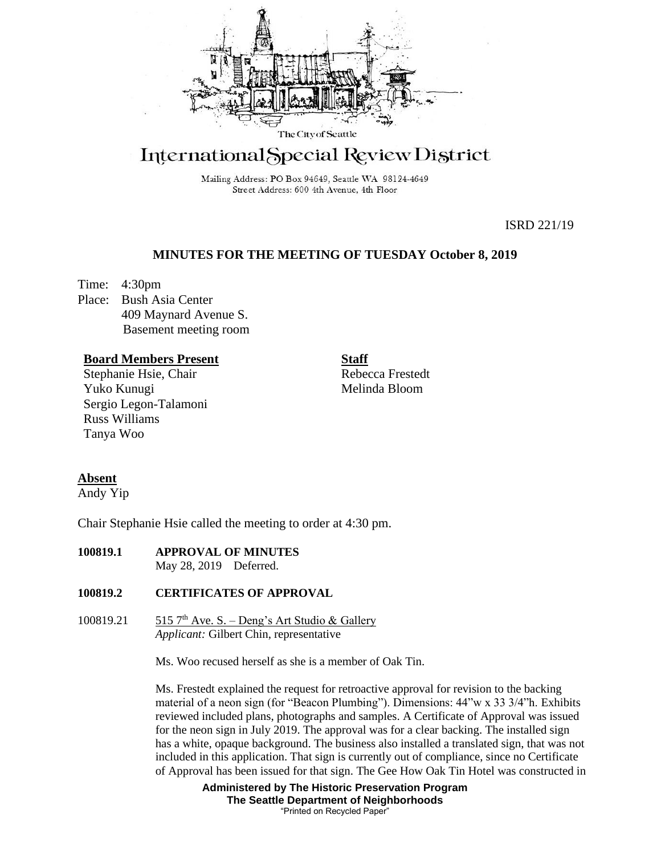

# International Special Review District

Mailing Address: PO Box 94649, Seattle WA 98124-4649 Street Address: 600 4th Avenue, 4th Floor

ISRD 221/19

## **MINUTES FOR THE MEETING OF TUESDAY October 8, 2019**

Time: 4:30pm Place: Bush Asia Center 409 Maynard Avenue S. Basement meeting room

## **Board Members Present**

Stephanie Hsie, Chair Yuko Kunugi Sergio Legon-Talamoni Russ Williams Tanya Woo

Rebecca Frestedt Melinda Bloom

**Staff**

## **Absent**

Andy Yip

Chair Stephanie Hsie called the meeting to order at 4:30 pm.

**100819.1 APPROVAL OF MINUTES** May 28, 2019 Deferred.

## **100819.2 CERTIFICATES OF APPROVAL**

100819.21  $515$  7<sup>th</sup> Ave. S. – Deng's Art Studio & Gallery *Applicant:* Gilbert Chin, representative

Ms. Woo recused herself as she is a member of Oak Tin.

Ms. Frestedt explained the request for retroactive approval for revision to the backing material of a neon sign (for "Beacon Plumbing"). Dimensions: 44"w x 33 3/4"h. Exhibits reviewed included plans, photographs and samples. A Certificate of Approval was issued for the neon sign in July 2019. The approval was for a clear backing. The installed sign has a white, opaque background. The business also installed a translated sign, that was not included in this application. That sign is currently out of compliance, since no Certificate of Approval has been issued for that sign. The Gee How Oak Tin Hotel was constructed in

> **Administered by The Historic Preservation Program The Seattle Department of Neighborhoods** "Printed on Recycled Paper"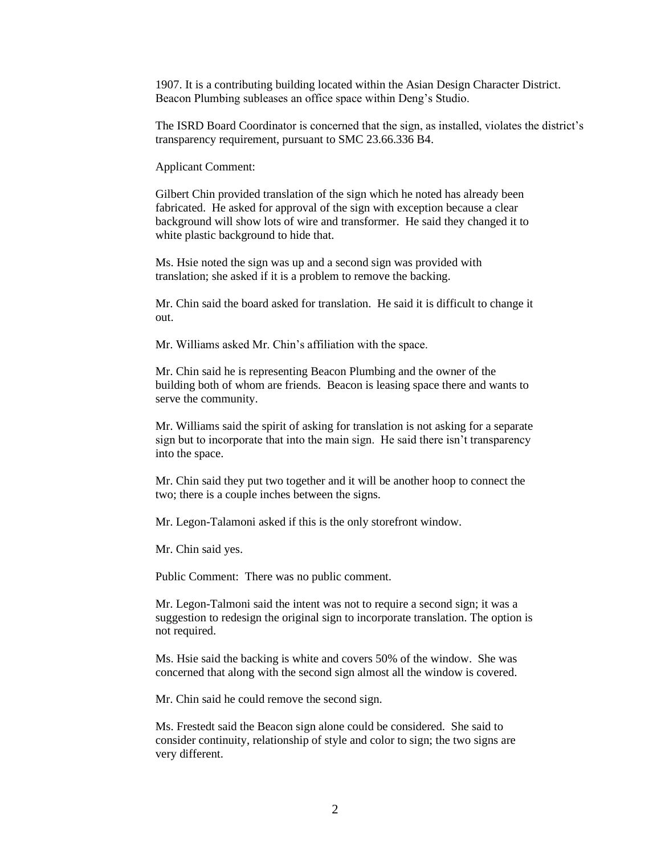1907. It is a contributing building located within the Asian Design Character District. Beacon Plumbing subleases an office space within Deng's Studio.

The ISRD Board Coordinator is concerned that the sign, as installed, violates the district's transparency requirement, pursuant to SMC 23.66.336 B4.

Applicant Comment:

Gilbert Chin provided translation of the sign which he noted has already been fabricated. He asked for approval of the sign with exception because a clear background will show lots of wire and transformer. He said they changed it to white plastic background to hide that.

Ms. Hsie noted the sign was up and a second sign was provided with translation; she asked if it is a problem to remove the backing.

Mr. Chin said the board asked for translation. He said it is difficult to change it out.

Mr. Williams asked Mr. Chin's affiliation with the space.

Mr. Chin said he is representing Beacon Plumbing and the owner of the building both of whom are friends. Beacon is leasing space there and wants to serve the community.

Mr. Williams said the spirit of asking for translation is not asking for a separate sign but to incorporate that into the main sign. He said there isn't transparency into the space.

Mr. Chin said they put two together and it will be another hoop to connect the two; there is a couple inches between the signs.

Mr. Legon-Talamoni asked if this is the only storefront window.

Mr. Chin said yes.

Public Comment: There was no public comment.

Mr. Legon-Talmoni said the intent was not to require a second sign; it was a suggestion to redesign the original sign to incorporate translation. The option is not required.

Ms. Hsie said the backing is white and covers 50% of the window. She was concerned that along with the second sign almost all the window is covered.

Mr. Chin said he could remove the second sign.

Ms. Frestedt said the Beacon sign alone could be considered. She said to consider continuity, relationship of style and color to sign; the two signs are very different.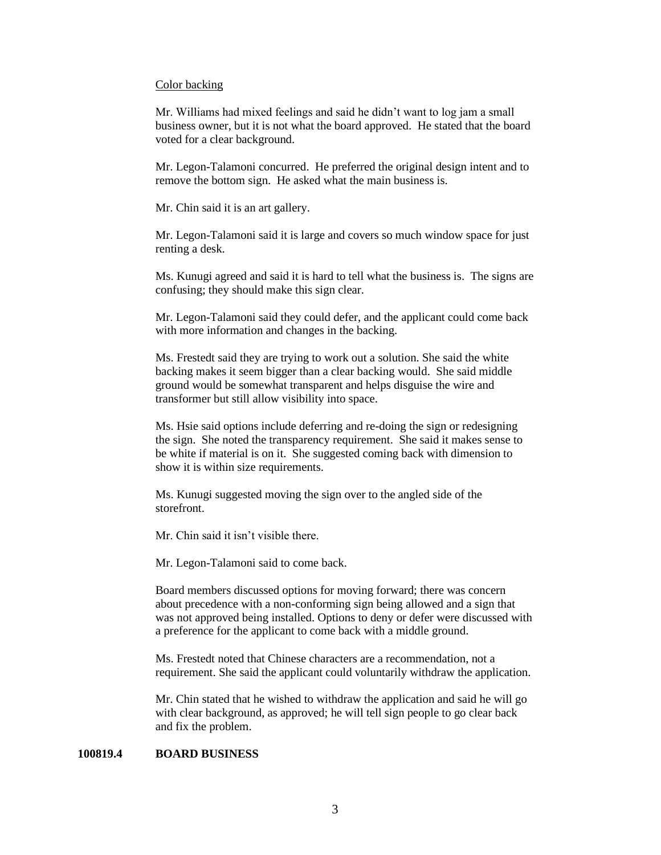#### Color backing

Mr. Williams had mixed feelings and said he didn't want to log jam a small business owner, but it is not what the board approved. He stated that the board voted for a clear background.

Mr. Legon-Talamoni concurred. He preferred the original design intent and to remove the bottom sign. He asked what the main business is.

Mr. Chin said it is an art gallery.

Mr. Legon-Talamoni said it is large and covers so much window space for just renting a desk.

Ms. Kunugi agreed and said it is hard to tell what the business is. The signs are confusing; they should make this sign clear.

Mr. Legon-Talamoni said they could defer, and the applicant could come back with more information and changes in the backing.

Ms. Frestedt said they are trying to work out a solution. She said the white backing makes it seem bigger than a clear backing would. She said middle ground would be somewhat transparent and helps disguise the wire and transformer but still allow visibility into space.

Ms. Hsie said options include deferring and re-doing the sign or redesigning the sign. She noted the transparency requirement. She said it makes sense to be white if material is on it. She suggested coming back with dimension to show it is within size requirements.

Ms. Kunugi suggested moving the sign over to the angled side of the storefront.

Mr. Chin said it isn't visible there.

Mr. Legon-Talamoni said to come back.

Board members discussed options for moving forward; there was concern about precedence with a non-conforming sign being allowed and a sign that was not approved being installed. Options to deny or defer were discussed with a preference for the applicant to come back with a middle ground.

Ms. Frestedt noted that Chinese characters are a recommendation, not a requirement. She said the applicant could voluntarily withdraw the application.

Mr. Chin stated that he wished to withdraw the application and said he will go with clear background, as approved; he will tell sign people to go clear back and fix the problem.

## **100819.4 BOARD BUSINESS**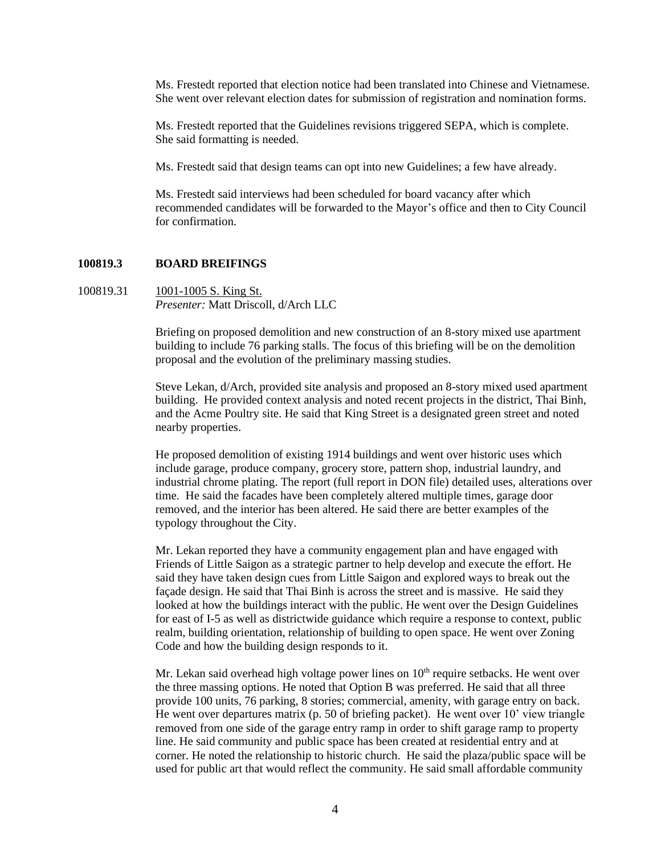Ms. Frestedt reported that election notice had been translated into Chinese and Vietnamese. She went over relevant election dates for submission of registration and nomination forms.

Ms. Frestedt reported that the Guidelines revisions triggered SEPA, which is complete. She said formatting is needed.

Ms. Frestedt said that design teams can opt into new Guidelines; a few have already.

Ms. Frestedt said interviews had been scheduled for board vacancy after which recommended candidates will be forwarded to the Mayor's office and then to City Council for confirmation.

#### **100819.3 BOARD BREIFINGS**

100819.31 1001-1005 S. King St. *Presenter:* Matt Driscoll, d/Arch LLC

> Briefing on proposed demolition and new construction of an 8-story mixed use apartment building to include 76 parking stalls. The focus of this briefing will be on the demolition proposal and the evolution of the preliminary massing studies.

Steve Lekan, d/Arch, provided site analysis and proposed an 8-story mixed used apartment building. He provided context analysis and noted recent projects in the district, Thai Binh, and the Acme Poultry site. He said that King Street is a designated green street and noted nearby properties.

He proposed demolition of existing 1914 buildings and went over historic uses which include garage, produce company, grocery store, pattern shop, industrial laundry, and industrial chrome plating. The report (full report in DON file) detailed uses, alterations over time. He said the facades have been completely altered multiple times, garage door removed, and the interior has been altered. He said there are better examples of the typology throughout the City.

Mr. Lekan reported they have a community engagement plan and have engaged with Friends of Little Saigon as a strategic partner to help develop and execute the effort. He said they have taken design cues from Little Saigon and explored ways to break out the façade design. He said that Thai Binh is across the street and is massive. He said they looked at how the buildings interact with the public. He went over the Design Guidelines for east of I-5 as well as districtwide guidance which require a response to context, public realm, building orientation, relationship of building to open space. He went over Zoning Code and how the building design responds to it.

Mr. Lekan said overhead high voltage power lines on  $10<sup>th</sup>$  require setbacks. He went over the three massing options. He noted that Option B was preferred. He said that all three provide 100 units, 76 parking, 8 stories; commercial, amenity, with garage entry on back. He went over departures matrix (p. 50 of briefing packet). He went over 10' view triangle removed from one side of the garage entry ramp in order to shift garage ramp to property line. He said community and public space has been created at residential entry and at corner. He noted the relationship to historic church. He said the plaza/public space will be used for public art that would reflect the community. He said small affordable community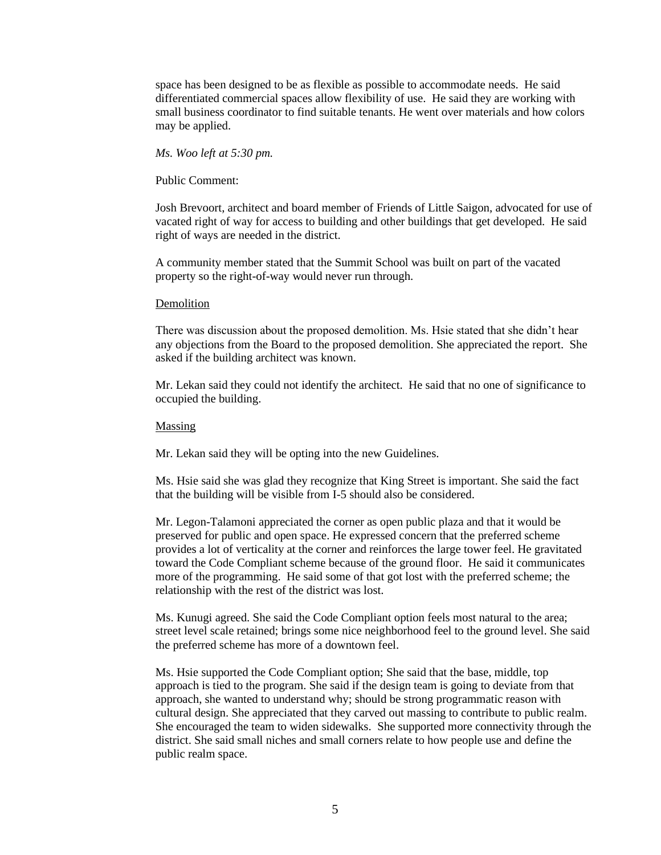space has been designed to be as flexible as possible to accommodate needs. He said differentiated commercial spaces allow flexibility of use. He said they are working with small business coordinator to find suitable tenants. He went over materials and how colors may be applied.

#### *Ms. Woo left at 5:30 pm.*

#### Public Comment:

Josh Brevoort, architect and board member of Friends of Little Saigon, advocated for use of vacated right of way for access to building and other buildings that get developed. He said right of ways are needed in the district.

A community member stated that the Summit School was built on part of the vacated property so the right-of-way would never run through.

#### Demolition

There was discussion about the proposed demolition. Ms. Hsie stated that she didn't hear any objections from the Board to the proposed demolition. She appreciated the report. She asked if the building architect was known.

Mr. Lekan said they could not identify the architect. He said that no one of significance to occupied the building.

#### Massing

Mr. Lekan said they will be opting into the new Guidelines.

Ms. Hsie said she was glad they recognize that King Street is important. She said the fact that the building will be visible from I-5 should also be considered.

Mr. Legon-Talamoni appreciated the corner as open public plaza and that it would be preserved for public and open space. He expressed concern that the preferred scheme provides a lot of verticality at the corner and reinforces the large tower feel. He gravitated toward the Code Compliant scheme because of the ground floor. He said it communicates more of the programming. He said some of that got lost with the preferred scheme; the relationship with the rest of the district was lost.

Ms. Kunugi agreed. She said the Code Compliant option feels most natural to the area; street level scale retained; brings some nice neighborhood feel to the ground level. She said the preferred scheme has more of a downtown feel.

Ms. Hsie supported the Code Compliant option; She said that the base, middle, top approach is tied to the program. She said if the design team is going to deviate from that approach, she wanted to understand why; should be strong programmatic reason with cultural design. She appreciated that they carved out massing to contribute to public realm. She encouraged the team to widen sidewalks. She supported more connectivity through the district. She said small niches and small corners relate to how people use and define the public realm space.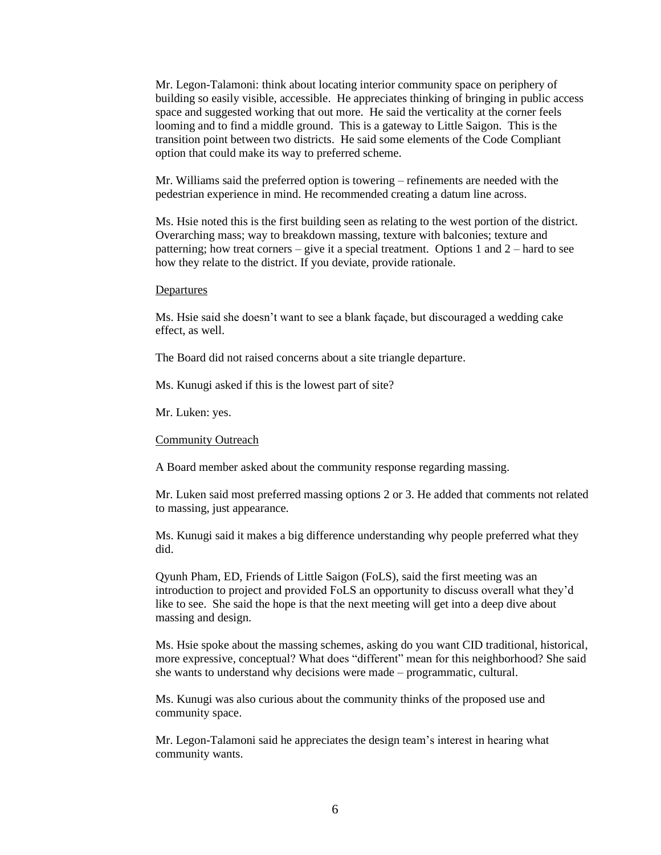Mr. Legon-Talamoni: think about locating interior community space on periphery of building so easily visible, accessible. He appreciates thinking of bringing in public access space and suggested working that out more. He said the verticality at the corner feels looming and to find a middle ground. This is a gateway to Little Saigon. This is the transition point between two districts. He said some elements of the Code Compliant option that could make its way to preferred scheme.

Mr. Williams said the preferred option is towering – refinements are needed with the pedestrian experience in mind. He recommended creating a datum line across.

Ms. Hsie noted this is the first building seen as relating to the west portion of the district. Overarching mass; way to breakdown massing, texture with balconies; texture and patterning; how treat corners – give it a special treatment. Options 1 and 2 – hard to see how they relate to the district. If you deviate, provide rationale.

#### Departures

Ms. Hsie said she doesn't want to see a blank façade, but discouraged a wedding cake effect, as well.

The Board did not raised concerns about a site triangle departure.

Ms. Kunugi asked if this is the lowest part of site?

Mr. Luken: yes.

Community Outreach

A Board member asked about the community response regarding massing.

Mr. Luken said most preferred massing options 2 or 3. He added that comments not related to massing, just appearance.

Ms. Kunugi said it makes a big difference understanding why people preferred what they did.

Qyunh Pham, ED, Friends of Little Saigon (FoLS), said the first meeting was an introduction to project and provided FoLS an opportunity to discuss overall what they'd like to see. She said the hope is that the next meeting will get into a deep dive about massing and design.

Ms. Hsie spoke about the massing schemes, asking do you want CID traditional, historical, more expressive, conceptual? What does "different" mean for this neighborhood? She said she wants to understand why decisions were made – programmatic, cultural.

Ms. Kunugi was also curious about the community thinks of the proposed use and community space.

Mr. Legon-Talamoni said he appreciates the design team's interest in hearing what community wants.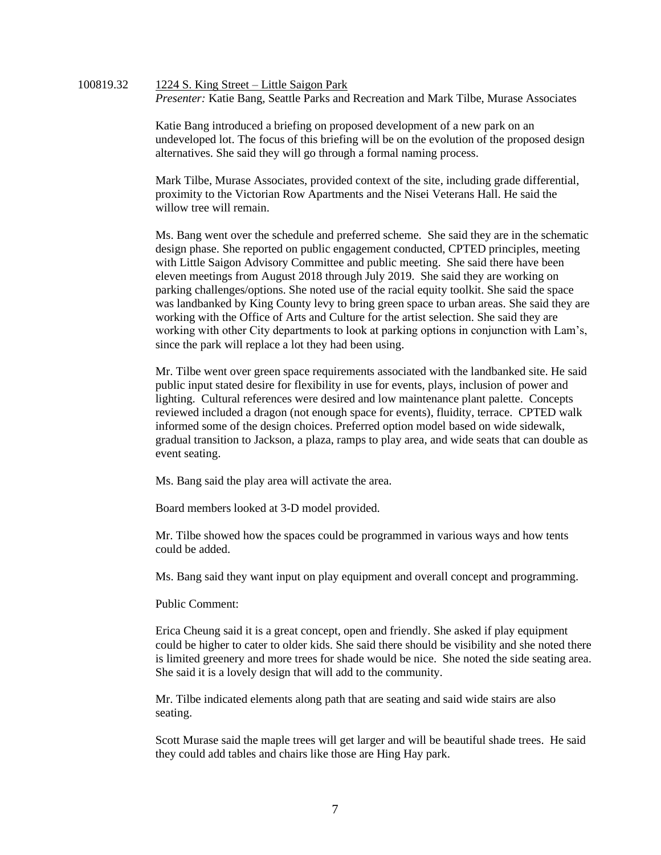## 100819.32 1224 S. King Street – Little Saigon Park *Presenter:* Katie Bang, Seattle Parks and Recreation and Mark Tilbe, Murase Associates

Katie Bang introduced a briefing on proposed development of a new park on an undeveloped lot. The focus of this briefing will be on the evolution of the proposed design alternatives. She said they will go through a formal naming process.

Mark Tilbe, Murase Associates, provided context of the site, including grade differential, proximity to the Victorian Row Apartments and the Nisei Veterans Hall. He said the willow tree will remain.

Ms. Bang went over the schedule and preferred scheme. She said they are in the schematic design phase. She reported on public engagement conducted, CPTED principles, meeting with Little Saigon Advisory Committee and public meeting. She said there have been eleven meetings from August 2018 through July 2019. She said they are working on parking challenges/options. She noted use of the racial equity toolkit. She said the space was landbanked by King County levy to bring green space to urban areas. She said they are working with the Office of Arts and Culture for the artist selection. She said they are working with other City departments to look at parking options in conjunction with Lam's, since the park will replace a lot they had been using.

Mr. Tilbe went over green space requirements associated with the landbanked site. He said public input stated desire for flexibility in use for events, plays, inclusion of power and lighting. Cultural references were desired and low maintenance plant palette. Concepts reviewed included a dragon (not enough space for events), fluidity, terrace. CPTED walk informed some of the design choices. Preferred option model based on wide sidewalk, gradual transition to Jackson, a plaza, ramps to play area, and wide seats that can double as event seating.

Ms. Bang said the play area will activate the area.

Board members looked at 3-D model provided.

Mr. Tilbe showed how the spaces could be programmed in various ways and how tents could be added.

Ms. Bang said they want input on play equipment and overall concept and programming.

Public Comment:

Erica Cheung said it is a great concept, open and friendly. She asked if play equipment could be higher to cater to older kids. She said there should be visibility and she noted there is limited greenery and more trees for shade would be nice. She noted the side seating area. She said it is a lovely design that will add to the community.

Mr. Tilbe indicated elements along path that are seating and said wide stairs are also seating.

Scott Murase said the maple trees will get larger and will be beautiful shade trees. He said they could add tables and chairs like those are Hing Hay park.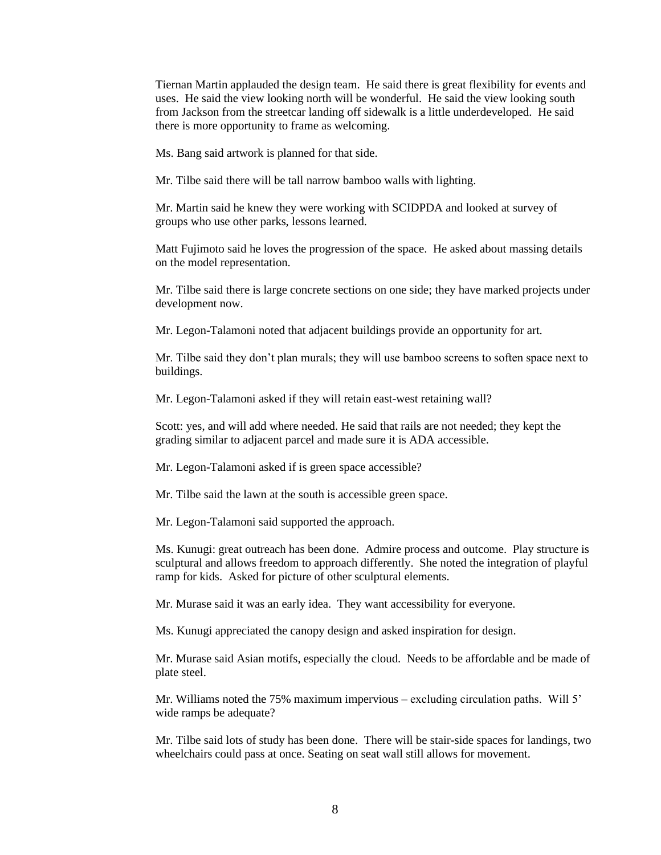Tiernan Martin applauded the design team. He said there is great flexibility for events and uses. He said the view looking north will be wonderful. He said the view looking south from Jackson from the streetcar landing off sidewalk is a little underdeveloped. He said there is more opportunity to frame as welcoming.

Ms. Bang said artwork is planned for that side.

Mr. Tilbe said there will be tall narrow bamboo walls with lighting.

Mr. Martin said he knew they were working with SCIDPDA and looked at survey of groups who use other parks, lessons learned.

Matt Fujimoto said he loves the progression of the space. He asked about massing details on the model representation.

Mr. Tilbe said there is large concrete sections on one side; they have marked projects under development now.

Mr. Legon-Talamoni noted that adjacent buildings provide an opportunity for art.

Mr. Tilbe said they don't plan murals; they will use bamboo screens to soften space next to buildings.

Mr. Legon-Talamoni asked if they will retain east-west retaining wall?

Scott: yes, and will add where needed. He said that rails are not needed; they kept the grading similar to adjacent parcel and made sure it is ADA accessible.

Mr. Legon-Talamoni asked if is green space accessible?

Mr. Tilbe said the lawn at the south is accessible green space.

Mr. Legon-Talamoni said supported the approach.

Ms. Kunugi: great outreach has been done. Admire process and outcome. Play structure is sculptural and allows freedom to approach differently. She noted the integration of playful ramp for kids. Asked for picture of other sculptural elements.

Mr. Murase said it was an early idea. They want accessibility for everyone.

Ms. Kunugi appreciated the canopy design and asked inspiration for design.

Mr. Murase said Asian motifs, especially the cloud. Needs to be affordable and be made of plate steel.

Mr. Williams noted the 75% maximum impervious – excluding circulation paths. Will 5' wide ramps be adequate?

Mr. Tilbe said lots of study has been done. There will be stair-side spaces for landings, two wheelchairs could pass at once. Seating on seat wall still allows for movement.